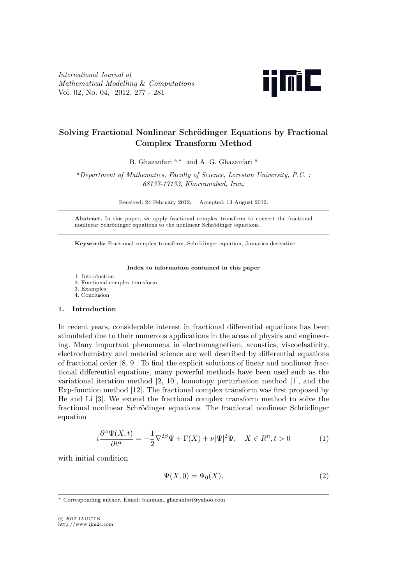*International Journal of Mathematical Modelling* & *Computations* Vol. 02, No. 04, 2012, 277 - 281



# **Solving Fractional Nonlinear Schrödinger Equations by Fractional Complex Transform Method**

B. Ghazanfari <sup>a</sup>*,<sup>∗</sup>* and A. G. Ghazanfari <sup>a</sup>

<sup>a</sup>*Department of Mathematics, Faculty of Science, Lorestan University, P.C. : 68137-17133, Khorramabad, Iran*.

Received: 24 February 2012; Accepted: 13 August 2012.

**Abstract.** In this paper, we apply fractional complex transform to convert the fractional nonlinear Schrödinger equations to the nonlinear Schrödinger equations.

**Keywords:** Fractional complex transform, Schrödinger equation, Jumaries derivative

#### **Index to information contained in this paper**

- 1. Introduction
- 2. Fractional complex transform
- 3. Examples
- 4. Conclusion

# **1. Introduction**

In recent years, considerable interest in fractional differential equations has been stimulated due to their numerous applications in the areas of physics and engineering. Many important phenomena in electromagnetism, acoustics, viscoelasticity, electrochemistry and material science are well described by differential equations of fractional order [8, 9]. To find the explicit solutions of linear and nonlinear fractional differential equations, many powerful methods have been used such as the variational iteration method [2, 10], homotopy perturbation method [1], and the Exp-function method [12]. The fractional complex transform was first proposed by He and Li [3]. We extend the fractional complex transform method to solve the fractional nonlinear Schrödinger equations. The fractional nonlinear Schrödinger equation

$$
i\frac{\partial^{\alpha}\Psi(X,t)}{\partial t^{\alpha}} = -\frac{1}{2}\nabla^{2\beta}\Psi + \Gamma(X) + \nu|\Psi|^{2}\Psi, \quad X \in \mathbb{R}^{n}, t > 0
$$
 (1)

with initial condition

$$
\Psi(X,0) = \Psi_0(X),\tag{2}
$$

*<sup>∗</sup>* Corresponding author. Email: bahman ghazanfari@yahoo.com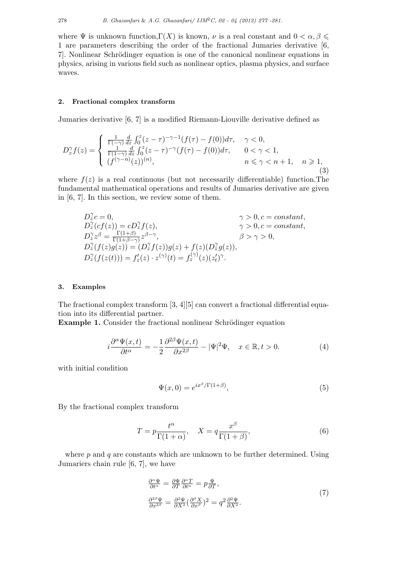where  $\Psi$  is unknown function,  $\Gamma(X)$  is known,  $\nu$  is a real constant and  $0 < \alpha, \beta \leq \pi$ 1 are parameters describing the order of the fractional Jumaries derivative [6, 7. Nonlinear Schrödinger equation is one of the canonical nonlinear equations in physics, arising in various field such as nonlinear optics, plasma physics, and surface waves.

# **2. Fractional complex transform**

Jumaries derivative [6, 7] is a modified Riemann-Liouville derivative defined as

$$
D_{z}^{\gamma} f(z) = \begin{cases} \frac{1}{\Gamma(-\gamma)} \frac{d}{dz} \int_{0}^{z} (z - \tau)^{-\gamma - 1} (f(\tau) - f(0)) d\tau, & \gamma < 0, \\ \frac{1}{\Gamma(1 - \gamma)} \frac{d}{dz} \int_{0}^{z} (z - \tau)^{-\gamma} (f(\tau) - f(0)) d\tau, & 0 < \gamma < 1, \\ (f^{(\gamma - n)}(z))^{(n)}, & n \le \gamma < n + 1, & n \ge 1, \end{cases}
$$
(3)

where  $f(z)$  is a real continuous (but not necessarily differentiable) function. The fundamental mathematical operations and results of Jumaries derivative are given in [6, 7]. In this section, we review some of them.

$$
D_z^{\gamma}c = 0, \qquad \qquad \gamma > 0, c = constant,
$$
  
\n
$$
D_z^{\gamma}(cf(z)) = cD_z^{\gamma}f(z), \qquad \qquad \gamma > 0, c = constant,
$$
  
\n
$$
D_z^{\gamma}z^{\beta} = \frac{\Gamma(1+\beta)}{\Gamma(1+\beta-\gamma)}z^{\beta-\gamma}, \qquad \qquad \beta > \gamma > 0,
$$
  
\n
$$
D_z^{\gamma}(f(z)g(z)) = (D_z^{\gamma}f(z))g(z) + f(z)(D_z^{\gamma}g(z)),
$$
  
\n
$$
D_z^{\gamma}(f(z(t))) = f_z^{\prime}(z) \cdot z^{(\gamma)}(t) = f_z^{(\gamma)}(z)(z_t^{\prime})^{\gamma}.
$$

# **3. Examples**

The fractional complex transform [3, 4][5] can convert a fractional differential equation into its differential partner.

**Example 1.** Consider the fractional nonlinear Schrödinger equation

$$
i\frac{\partial^{\alpha}\Psi(x,t)}{\partial t^{\alpha}} = -\frac{1}{2}\frac{\partial^{2\beta}\Psi(x,t)}{\partial x^{2\beta}} - |\Psi|^2\Psi, \quad x \in \mathbb{R}, t > 0.
$$
 (4)

with initial condition

$$
\Psi(x,0) = e^{ix^{\beta}/\Gamma(1+\beta)},\tag{5}
$$

By the fractional complex transform

$$
T = p \frac{t^{\alpha}}{\Gamma(1+\alpha)}, \quad X = q \frac{x^{\beta}}{\Gamma(1+\beta)},
$$
\n(6)

where *p* and *q* are constants which are unknown to be further determined. Using Jumariers chain rule [6, 7], we have

$$
\frac{\partial^{\alpha} \Psi}{\partial t^{\alpha}} = \frac{\partial \Psi}{\partial T} \frac{\partial^{\alpha} T}{\partial t^{\alpha}} = p \frac{\Psi}{\partial T},
$$
\n
$$
\frac{\partial^{2\beta} \Psi}{\partial x^{2\beta}} = \frac{\partial^{2} \Psi}{\partial X^{2}} (\frac{\partial^{\beta} X}{\partial x^{\beta}})^{2} = q^{2} \frac{\partial^{2} \Psi}{\partial X^{2}}.
$$
\n(7)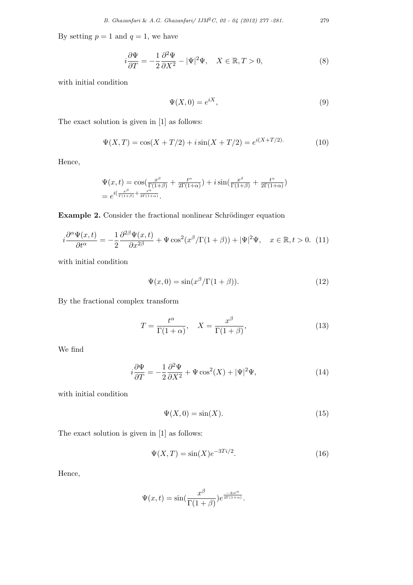By setting  $p = 1$  and  $q = 1$ , we have

$$
i\frac{\partial\Psi}{\partial T} = -\frac{1}{2}\frac{\partial^2\Psi}{\partial X^2} - |\Psi|^2\Psi, \quad X \in \mathbb{R}, T > 0,
$$
\n(8)

with initial condition

$$
\Psi(X,0) = e^{iX},\tag{9}
$$

The exact solution is given in [1] as follows:

$$
\Psi(X,T) = \cos(X+T/2) + i\sin(X+T/2) = e^{i(X+T/2)}.
$$
\n(10)

Hence,

$$
\Psi(x,t) = \cos\left(\frac{x^{\beta}}{\Gamma(1+\beta)} + \frac{t^{\alpha}}{2\Gamma(1+\alpha)}\right) + i\sin\left(\frac{x^{\beta}}{\Gamma(1+\beta)} + \frac{t^{\alpha}}{2\Gamma(1+\alpha)}\right)
$$

$$
= e^{i\left(\frac{x^{\beta}}{\Gamma(1+\beta)} + \frac{t^{\alpha}}{2\Gamma(1+\alpha)}\right)}.
$$

**Example 2.** Consider the fractional nonlinear Schrödinger equation

$$
i\frac{\partial^{\alpha}\Psi(x,t)}{\partial t^{\alpha}} = -\frac{1}{2}\frac{\partial^{2\beta}\Psi(x,t)}{\partial x^{2\beta}} + \Psi \cos^{2}(x^{\beta}/\Gamma(1+\beta)) + |\Psi|^{2}\Psi, \quad x \in \mathbb{R}, t > 0. \tag{11}
$$

with initial condition

$$
\Psi(x,0) = \sin(x^{\beta}/\Gamma(1+\beta)).\tag{12}
$$

By the fractional complex transform

$$
T = \frac{t^{\alpha}}{\Gamma(1+\alpha)}, \quad X = \frac{x^{\beta}}{\Gamma(1+\beta)},
$$
\n(13)

We find

$$
i\frac{\partial\Psi}{\partial T} = -\frac{1}{2}\frac{\partial^2\Psi}{\partial X^2} + \Psi\cos^2(X) + |\Psi|^2\Psi,\tag{14}
$$

with initial condition

$$
\Psi(X,0) = \sin(X). \tag{15}
$$

The exact solution is given in [1] as follows:

$$
\Psi(X,T) = \sin(X)e^{-3Ti/2}.
$$
\n(16)

Hence,

$$
\Psi(x,t) = \sin\left(\frac{x^{\beta}}{\Gamma(1+\beta)}\right) e^{\frac{-3it^{\alpha}}{2\Gamma(1+\alpha)}}.
$$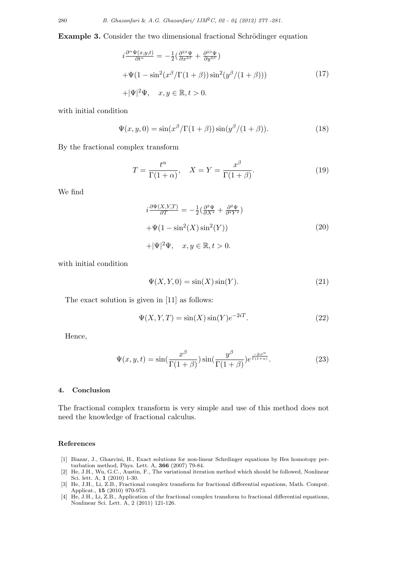**Example 3.** Consider the two dimensional fractional Schrödinger equation

$$
i\frac{\partial^{\alpha}\Psi(x,y,t)}{\partial t^{\alpha}} = -\frac{1}{2}(\frac{\partial^{2\beta}\Psi}{\partial x^{2\beta}} + \frac{\partial^{2\beta}\Psi}{\partial y^{2\beta}})
$$
  
+
$$
\Psi(1 - \sin^{2}(x^{\beta}/\Gamma(1+\beta))\sin^{2}(y^{\beta}/(1+\beta)))
$$
 (17)  
+
$$
|\Psi|^{2}\Psi, \quad x, y \in \mathbb{R}, t > 0.
$$

with initial condition

$$
\Psi(x, y, 0) = \sin(x^{\beta}/\Gamma(1+\beta))\sin(y^{\beta}/(1+\beta)).
$$
\n(18)

By the fractional complex transform

$$
T = \frac{t^{\alpha}}{\Gamma(1+\alpha)}, \quad X = Y = \frac{x^{\beta}}{\Gamma(1+\beta)}.
$$
\n(19)

We find

$$
i\frac{\partial\Psi(X,Y,T)}{\partial T} = -\frac{1}{2}(\frac{\partial^2\Psi}{\partial X^2} + \frac{\partial^2\Psi}{\partial^2Y^2})
$$
  
+
$$
\Psi(1 - \sin^2(X)\sin^2(Y))
$$
  
+
$$
|\Psi|^2\Psi, \quad x, y \in \mathbb{R}, t > 0.
$$
 (20)

with initial condition

$$
\Psi(X, Y, 0) = \sin(X)\sin(Y). \tag{21}
$$

The exact solution is given in [11] as follows:

$$
\Psi(X, Y, T) = \sin(X)\sin(Y)e^{-2iT}.\tag{22}
$$

Hence,

$$
\Psi(x, y, t) = \sin\left(\frac{x^{\beta}}{\Gamma(1+\beta)}\right) \sin\left(\frac{y^{\beta}}{\Gamma(1+\beta)}\right) e^{\frac{-2it^{\alpha}}{\Gamma(1+\alpha)}}.
$$
\n(23)

# **4. Conclusion**

The fractional complex transform is very simple and use of this method does not need the knowledge of fractional calculus.

### **References**

- [1] Biazar, J., Ghazvini, H., Exact solutions for non-linear Schrdinger equations by Hes homotopy perturbation method, Phys. Lett. A, **366** (2007) 79-84.
- [2] He, J.H., Wu, G.C., Austin, F., The variational iteration method which should be followed, Nonlinear Sci. lett. A, **1** (2010) 1-30.
- [3] He, J.H., Li, Z.B., Fractional complex transform for fractional differential equations, Math. Comput. Applicat., **15** (2010) 970-973.
- [4] He, J.H., Li, Z.B., Application of the fractional complex transform to fractional differential equations, Nonlinear Sci. Lett. A, 2 (2011) 121-126.